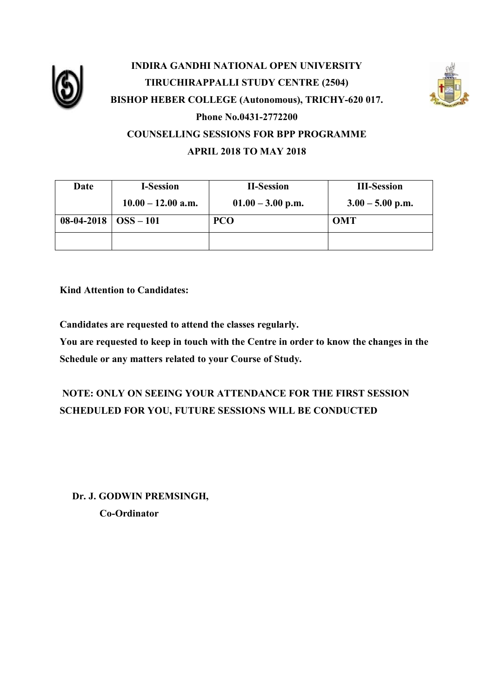

## **INDIRA GANDHI NATIONAL OPEN UNIVERSITY TIRUCHIRAPPALLI STUDY CENTRE (2504) BISHOP HEBER COLLEGE (Autonomous), TRICHY-620 017. Phone No.0431-2772200 COUNSELLING SESSIONS FOR BPP PROGRAMME APRIL 2018 TO MAY 2018**



**Kind Attention to Candidates:**

**Candidates are requested to attend the classes regularly.**

**You are requested to keep in touch with the Centre in order to know the changes in the Schedule or any matters related to your Course of Study.**

## **NOTE: ONLY ON SEEING YOUR ATTENDANCE FOR THE FIRST SESSION SCHEDULED FOR YOU, FUTURE SESSIONS WILL BE CONDUCTED**

 **Dr. J. GODWIN PREMSINGH, Co-Ordinator**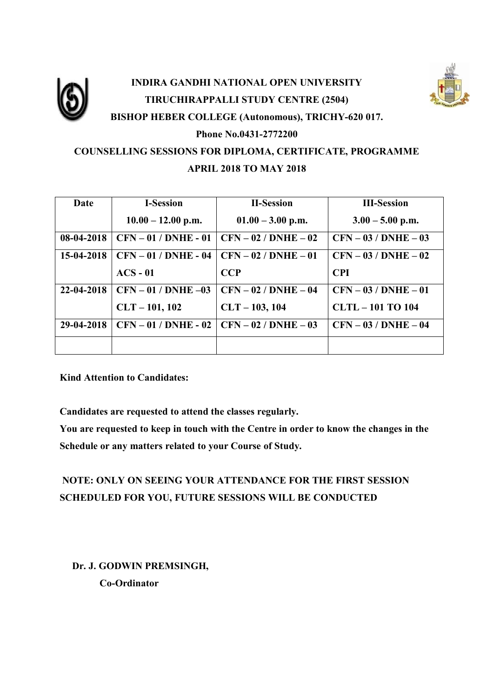

# **INDIRA GANDHI NATIONAL OPEN UNIVERSITY TIRUCHIRAPPALLI STUDY CENTRE (2504) BISHOP HEBER COLLEGE (Autonomous), TRICHY-620 017. Phone No.0431-2772200 COUNSELLING SESSIONS FOR DIPLOMA, CERTIFICATE, PROGRAMME**

#### **APRIL 2018 TO MAY 2018**

| Date       | <b>I-Session</b>       | <b>II-Session</b>       | <b>III-Session</b>     |
|------------|------------------------|-------------------------|------------------------|
|            | $10.00 - 12.00$ p.m.   | $01.00 - 3.00$ p.m.     | $3.00 - 5.00$ p.m.     |
| 08-04-2018 | $CFN - 01 / DNHE - 01$ | $CFN - 02 / DNHE - 02$  | $CFN - 03 / DNIE - 03$ |
| 15-04-2018 | $CFN - 01 / DNHE - 04$ | $CFN - 02 / DNHE - 01$  | $CFN - 03 / DNIE - 02$ |
|            | $ACS - 01$             | <b>CCP</b>              | <b>CPI</b>             |
| 22-04-2018 | $CFN - 01 / DNHE -03$  | $CFN - 02 / DNHE - 04$  | $CFN - 03 / DNIE - 01$ |
|            | $CLT - 101, 102$       | $CLT - 103, 104$        | <b>CLTL-101 TO 104</b> |
| 29-04-2018 | $CFN - 01 / DNIE - 02$ | $CFN - 02 / DNIEE - 03$ | $CFN - 03 / DNHE - 04$ |
|            |                        |                         |                        |

**Kind Attention to Candidates:**

**Candidates are requested to attend the classes regularly.**

**You are requested to keep in touch with the Centre in order to know the changes in the Schedule or any matters related to your Course of Study.**

## **NOTE: ONLY ON SEEING YOUR ATTENDANCE FOR THE FIRST SESSION SCHEDULED FOR YOU, FUTURE SESSIONS WILL BE CONDUCTED**

 **Dr. J. GODWIN PREMSINGH, Co-Ordinator**

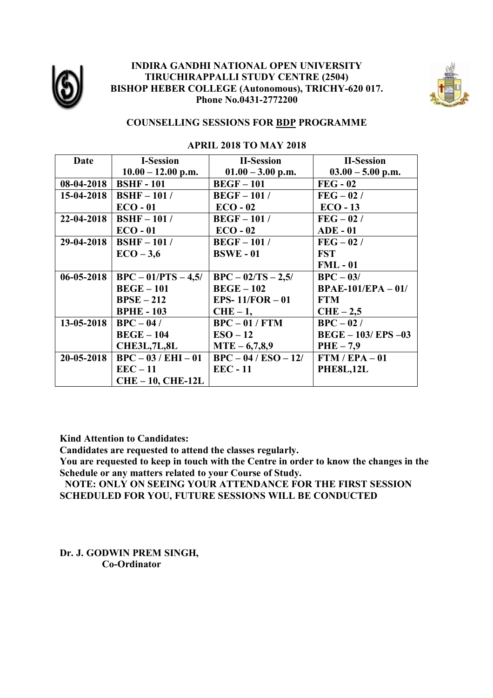

#### **INDIRA GANDHI NATIONAL OPEN UNIVERSITY TIRUCHIRAPPALLI STUDY CENTRE (2504) BISHOP HEBER COLLEGE (Autonomous), TRICHY-620 017. Phone No.0431-2772200**



#### **COUNSELLING SESSIONS FOR BDP PROGRAMME**

| Date             | <b>I-Session</b>       | <b>II-Session</b>      | <b>II-Session</b>     |
|------------------|------------------------|------------------------|-----------------------|
|                  | $10.00 - 12.00$ p.m.   | $01.00 - 3.00$ p.m.    | $03.00 - 5.00$ p.m.   |
| 08-04-2018       | <b>BSHF-101</b>        | $BEGF-101$             | $FEG - 02$            |
| 15-04-2018       | $BSHF-101/$            | $\text{BEGF}-101/$     | $FEG - 02/$           |
|                  | $ECO - 01$             | $ECO - 02$             | $ECO-13$              |
| 22-04-2018       | $BSHF-101/$            | $\text{BEGF}-101/$     | $FEG - 02/$           |
|                  | $ECO - 01$             | $ECO - 02$             | $ADE - 01$            |
| 29-04-2018       | $BSHF-101/$            | $BEGF-101/$            | $FEG - 02/$           |
|                  | $ECO-3,6$              | <b>BSWE-01</b>         | <b>FST</b>            |
|                  |                        |                        | $FML - 01$            |
| $06 - 05 - 2018$ | $BPC - 01/PTS - 4,5/$  | $BPC - 02/TS - 2,5/$   | $BPC - 03/$           |
|                  | $BEGE-101$             | $BEGE-102$             | $BPAE-101/EPA-01/$    |
|                  | $BPSE-212$             | EPS- $11/FOR - 01$     | <b>FTM</b>            |
|                  | <b>BPHE-103</b>        | $CHE-1$ ,              | $CHE-2,5$             |
| 13-05-2018       | $\overline{BPC} - 04/$ | $BPC - 01 / FTM$       | $BPC - 02/$           |
|                  | $BEGE-104$             | $ESO-12$               | $BEGE - 103/EPS - 03$ |
|                  | <b>CHE3L,7L,8L</b>     | $MTE - 6,7,8,9$        | $PHE-7,9$             |
| $20 - 05 - 2018$ | $BPC - 03 / EHI - 01$  | $BPC - 04 / ESO - 12/$ | $FTM / EPA - 01$      |
|                  | $EEC-11$               | <b>EEC - 11</b>        | <b>PHE8L,12L</b>      |
|                  | $CHE-10, CHE-12L$      |                        |                       |

#### **APRIL 2018 TO MAY 2018**

**Kind Attention to Candidates:**

**Candidates are requested to attend the classes regularly.**

**You are requested to keep in touch with the Centre in order to know the changes in the Schedule or any matters related to your Course of Study.**

 **NOTE: ONLY ON SEEING YOUR ATTENDANCE FOR THE FIRST SESSION SCHEDULED FOR YOU, FUTURE SESSIONS WILL BE CONDUCTED**

**Dr. J. GODWIN PREM SINGH, Co-Ordinator**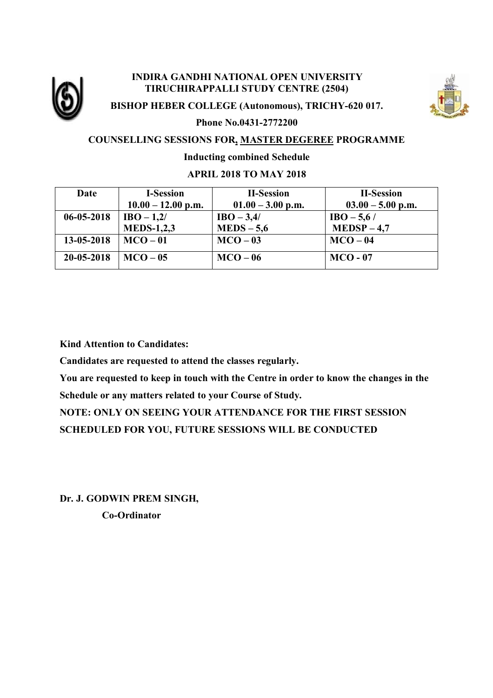

#### **INDIRA GANDHI NATIONAL OPEN UNIVERSITY TIRUCHIRAPPALLI STUDY CENTRE (2504)**



**BISHOP HEBER COLLEGE (Autonomous), TRICHY-620 017.**

**Phone No.0431-2772200**

#### **COUNSELLING SESSIONS FOR, MASTER DEGEREE PROGRAMME**

#### **Inducting combined Schedule**

#### **APRIL 2018 TO MAY 2018**

| Date             | <b>I-Session</b>     | <b>II-Session</b>   | <b>II-Session</b>   |
|------------------|----------------------|---------------------|---------------------|
|                  | $10.00 - 12.00$ p.m. | $01.00 - 3.00$ p.m. | $03.00 - 5.00$ p.m. |
| $06 - 05 - 2018$ | $IBO - 1,2/$         | $IBO - 3,4/$        | $IBO - 5,6/$        |
|                  | <b>MEDS-1,2,3</b>    | $MEDS - 5.6$        | $MEDSP-4,7$         |
| 13-05-2018       | $MCO-01$             | $MCO-03$            | $MCO-04$            |
| 20-05-2018       | $MCO-05$             | $MCO-06$            | $MCO - 07$          |

**Kind Attention to Candidates:**

**Candidates are requested to attend the classes regularly.**

**You are requested to keep in touch with the Centre in order to know the changes in the Schedule or any matters related to your Course of Study.**

**NOTE: ONLY ON SEEING YOUR ATTENDANCE FOR THE FIRST SESSION SCHEDULED FOR YOU, FUTURE SESSIONS WILL BE CONDUCTED**

**Dr. J. GODWIN PREM SINGH, Co-Ordinator**